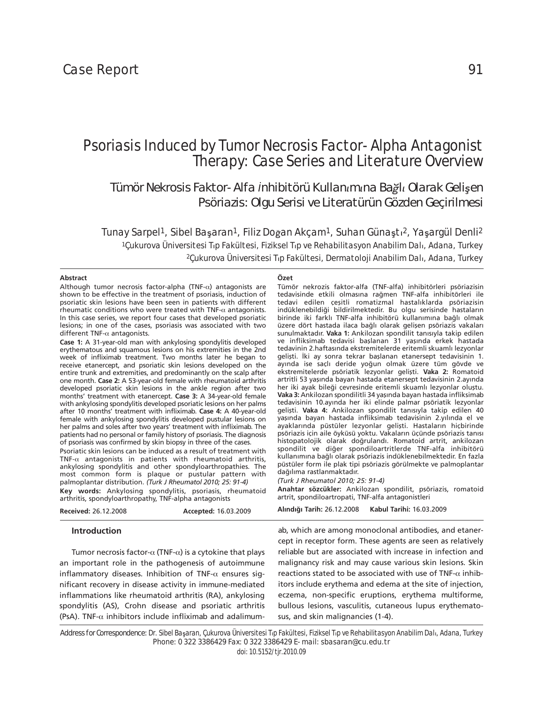# Psoriasis Induced by Tumor Necrosis Factor-Alpha Antagonist Therapy: Case Series and Literature Overview

*Tümör Nekrosis Faktor-Alfa ąnhibitörü Kullan×m×na Baÿl× Olarak Geliăen Psöriazis: Olgu Serisi ve Literatürün Gözden Geçirilmesi*

Tunay Sarpel<sup>1</sup>, Sibel Başaran<sup>1</sup>, Filiz Doğan Akçam<sup>1</sup>, Suhan Günaştı<sup>2</sup>, Yaşargül Denli<sup>2</sup> <sup>1</sup>Çukurova Üniversitesi Tıp Fakültesi, Fiziksel Tıp ve Rehabilitasyon Anabilim Dalı, Adana, Turkey <sup>2</sup>Çukurova Üniversitesi T<sub>I</sub>p Fakültesi, Dermatoloji Anabilim Dalı, Adana, Turkey

**Özet**

## **Abstract**

Tümör nekrozis faktor-alfa (TNF-alfa) inhibitörleri psöriazisin tedavisinde etkili olmasına rağmen TNF-alfa inhibitörleri ile tedavi edilen çeşitli romatizmal hastalıklarda psöriazisin indüklenebildiği bildirilmektedir. Bu olgu serisinde hastaların birinde iki farklı TNF-alfa inhibitörü kullanımına bağlı olmak üzere dört hastada ilaca bağlı olarak gelişen psöriazis vakaları sunulmaktadır. **Vaka 1:** Ankilozan spondilit tanısıyla takip edilen ve infliksimab tedavisi başlanan 31 yaşında erkek hastada tedavinin 2.haftasında ekstremitelerde eritemli skuamlı lezyonlar gelişti. İki ay sonra tekrar başlanan etanersept tedavisinin 1. ayında ise saçlı deride yoğun olmak üzere tüm gövde ve ekstremitelerde psöriatik lezyonlar gelişti. **Vaka 2:** Romatoid artritli 53 yaşında bayan hastada etanersept tedavisinin 2.ayında her iki ayak bileği çevresinde eritemli skuamlı lezyonlar oluştu. **Vaka 3:** Ankilozan spondilitli 34 yaşında bayan hastada infliksimab tedavisinin 10.ayında her iki elinde palmar psöriatik lezyonlar gelişti. **Vaka 4:** Ankilozan spondilit tanısıyla takip edilen 40 yaşında bayan hastada infliksimab tedavisinin 2.yılında el ve ayaklarında püstüler lezyonlar gelişti. Hastaların hiçbirinde psöriazis için aile öyküsü yoktu. Vakaların üçünde psöriazis tanısı histopatolojik olarak doğrulandı. Romatoid artrit, ankilozan spondilit ve diğer spondiloartritlerde TNF-alfa inhibitörü kullanımına bağlı olarak psöriazis indüklenebilmektedir. En fazla püstüler form ile plak tipi psöriazis görülmekte ve palmoplantar dağılıma rastlanmaktadır. *(Turk J Rheumatol 2010; 25: 91-4)* **Anah tar söz cük ler:** Ankilozan spondilit, psöriazis, romatoid artrit, spondiloartropati, TNF-alfa antagonistleri **Al›n d› ¤› Ta rih:** 26.12.2008 **Ka bul Ta ri hi:** 16.03.2009 Although tumor necrosis factor-alpha (TNF- $\alpha$ ) antagonists are shown to be effective in the treatment of psoriasis, induction of psoriatic skin lesions have been seen in patients with different rheumatic conditions who were treated with TNF- $\alpha$  antagonists. In this case series, we report four cases that developed psoriatic lesions; in one of the cases, psoriasis was associated with two different TNF- $\alpha$  antagonists. **Case 1:** A 31-year-old man with ankylosing spondylitis developed erythematous and squamous lesions on his extremities in the 2nd week of infliximab treatment. Two months later he began to receive etanercept, and psoriatic skin lesions developed on the entire trunk and extremities, and predominantly on the scalp after one month. **Case 2:** A 53-year-old female with rheumatoid arthritis developed psoriatic skin lesions in the ankle region after two months' treatment with etanercept. **Case 3:** A 34-year-old female with ankylosing spondylitis developed psoriatic lesions on her palms after 10 months' treatment with infliximab. **Case 4:** A 40-year-old female with ankylosing spondylitis developed pustular lesions on her palms and soles after two years' treatment with infliximab. The patients had no personal or family history of psoriasis. The diagnosis of psoriasis was confirmed by skin biopsy in three of the cases. Psoriatic skin lesions can be induced as a result of treatment with TNF- $\alpha$  antagonists in patients with rheumatoid arthritis, ankylosing spondylitis and other spondyloarthropathies. The most common form is plaque or pustular pattern with palmoplantar distribution. *(Turk J Rheumatol 2010; 25: 91-4)* **Key words:** Ankylosing spondylitis, psoriasis, rheumatoid arthritis, spondyloarthropathy, TNF-alpha antagonists **Received:** 26.12.2008 **Accepted:** 16.03.2009 **Introduction** Tumor necrosis factor- $\alpha$  (TNF- $\alpha$ ) is a cytokine that plays ab, which are among monoclonal antibodies, and etanercept in receptor form. These agents are seen as relatively reliable but are associated with increase in infection and

an important role in the pathogenesis of autoimmune inflammatory diseases. Inhibition of TNF- $\alpha$  ensures significant recovery in disease activity in immune-mediated inflammations like rheumatoid arthritis (RA), ankylosing spondylitis (AS), Crohn disease and psoriatic arthritis (PsA). TNF- $\alpha$  inhibitors include infliximab and adalimum-

malignancy risk and may cause various skin lesions. Skin reactions stated to be associated with use of TNF- $\alpha$  inhibitors include erythema and edema at the site of injection, eczema, non-specific eruptions, erythema multiforme, bullous lesions, vasculitis, cutaneous lupus erythematosus, and skin malignancies (1-4).

Address for Correspondence: Dr. Sibel Başaran, Çukurova Üniversitesi T<sub>IP</sub> Fakültesi, Fiziksel T<sub>IP</sub> ve Rehabilitasyon Anabilim Dalı, Adana, Turkey Phone: 0 322 3386429 Fax: 0 322 3386429 E-mail: sbasaran@cu.edu.tr

doi: 10.5152/tjr.2010.09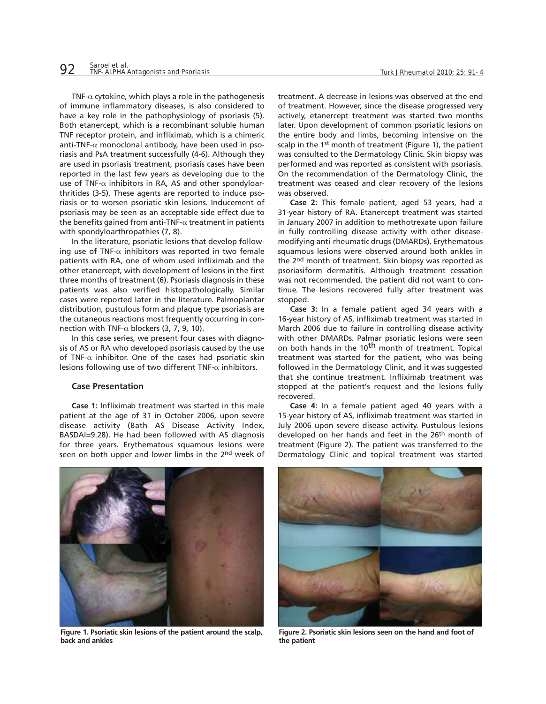TNF- $\alpha$  cytokine, which plays a role in the pathogenesis of immune inflammatory diseases, is also considered to have a key role in the pathophysiology of psoriasis (5). Both etanercept, which is a recombinant soluble human TNF receptor protein, and infliximab, which is a chimeric anti-TNF- $\alpha$  monoclonal antibody, have been used in psoriasis and PsA treatment successfully (4-6). Although they are used in psoriasis treatment, psoriasis cases have been reported in the last few years as developing due to the use of TNF- $\alpha$  inhibitors in RA, AS and other spondyloarthritides (3-5). These agents are reported to induce psoriasis or to worsen psoriatic skin lesions. Inducement of psoriasis may be seen as an acceptable side effect due to the benefits gained from anti-TNF- $\alpha$  treatment in patients with spondyloarthropathies (7, 8).

In the literature, psoriatic lesions that develop following use of TNF- $\alpha$  inhibitors was reported in two female patients with RA, one of whom used infliximab and the other etanercept, with development of lesions in the first three months of treatment (6). Psoriasis diagnosis in these patients was also verified histopathologically. Similar cases were reported later in the literature. Palmoplantar distribution, pustulous form and plaque type psoriasis are the cutaneous reactions most frequently occurring in connection with TNF- $\alpha$  blockers (3, 7, 9, 10).

In this case series, we present four cases with diagnosis of AS or RA who developed psoriasis caused by the use of TNF- $\alpha$  inhibitor. One of the cases had psoriatic skin lesions following use of two different TNF- $\alpha$  inhibitors.

# **Case Presentation**

**Case 1:** Infliximab treatment was started in this male patient at the age of 31 in October 2006, upon severe disease activity (Bath AS Disease Activity Index, BASDAI=9.28). He had been followed with AS diagnosis for three years. Erythematous squamous lesions were seen on both upper and lower limbs in the 2nd week of treatment. A decrease in lesions was observed at the end of treatment. However, since the disease progressed very actively, etanercept treatment was started two months later. Upon development of common psoriatic lesions on the entire body and limbs, becoming intensive on the scalp in the 1<sup>st</sup> month of treatment (Figure 1), the patient was consulted to the Dermatology Clinic. Skin biopsy was performed and was reported as consistent with psoriasis. On the recommendation of the Dermatology Clinic, the treatment was ceased and clear recovery of the lesions was observed.

**Case 2:** This female patient, aged 53 years, had a 31-year history of RA. Etanercept treatment was started in January 2007 in addition to methotrexate upon failure in fully controlling disease activity with other diseasemodifying anti-rheumatic drugs (DMARDs). Erythematous squamous lesions were observed around both ankles in the 2<sup>nd</sup> month of treatment. Skin biopsy was reported as psoriasiform dermatitis. Although treatment cessation was not recommended, the patient did not want to continue. The lesions recovered fully after treatment was stopped.

**Case 3:** In a female patient aged 34 years with a 16-year history of AS, infliximab treatment was started in March 2006 due to failure in controlling disease activity with other DMARDs. Palmar psoriatic lesions were seen on both hands in the 10<sup>th</sup> month of treatment. Topical treatment was started for the patient, who was being followed in the Dermatology Clinic, and it was suggested that she continue treatment. Infliximab treatment was stopped at the patient's request and the lesions fully recovered.

**Case 4:** In a female patient aged 40 years with a 15-year history of AS, infliximab treatment was started in July 2006 upon severe disease activity. Pustulous lesions developed on her hands and feet in the 26th month of treatment (Figure 2). The patient was transferred to the Dermatology Clinic and topical treatment was started



**Figure 1. Psoriatic skin lesions of the patient around the scalp, back and ankles** 



**Figure 2. Psoriatic skin lesions seen on the hand and foot of the patient**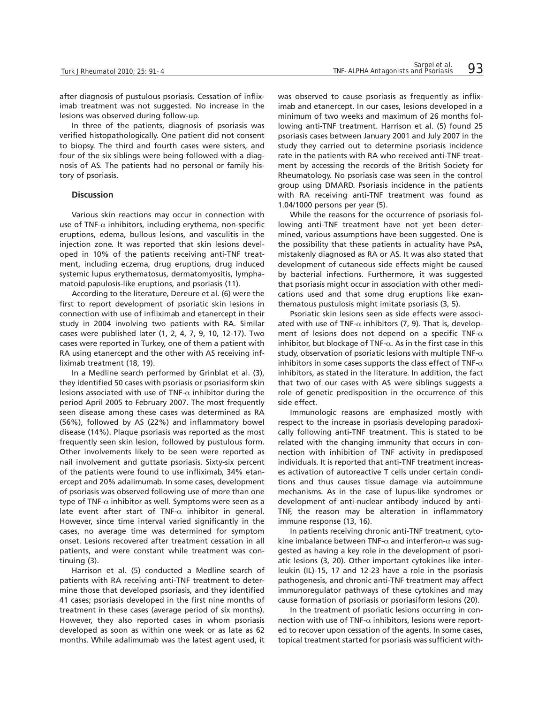after diagnosis of pustulous psoriasis. Cessation of infliximab treatment was not suggested. No increase in the lesions was observed during follow-up.

In three of the patients, diagnosis of psoriasis was verified histopathologically. One patient did not consent to biopsy. The third and fourth cases were sisters, and four of the six siblings were being followed with a diagnosis of AS. The patients had no personal or family history of psoriasis.

#### **Discussion**

Various skin reactions may occur in connection with use of TNF- $\alpha$  inhibitors, including erythema, non-specific eruptions, edema, bullous lesions, and vasculitis in the injection zone. It was reported that skin lesions developed in 10% of the patients receiving anti-TNF treatment, including eczema, drug eruptions, drug induced systemic lupus erythematosus, dermatomyositis, lymphamatoid papulosis-like eruptions, and psoriasis (11).

According to the literature, Dereure et al. (6) were the first to report development of psoriatic skin lesions in connection with use of infliximab and etanercept in their study in 2004 involving two patients with RA. Similar cases were published later (1, 2, 4, 7, 9, 10, 12-17). Two cases were reported in Turkey, one of them a patient with RA using etanercept and the other with AS receiving infliximab treatment (18, 19).

In a Medline search performed by Grinblat et al. (3), they identified 50 cases with psoriasis or psoriasiform skin lesions associated with use of TNF- $\alpha$  inhibitor during the period April 2005 to February 2007. The most frequently seen disease among these cases was determined as RA (56%), followed by AS (22%) and inflammatory bowel disease (14%). Plaque psoriasis was reported as the most frequently seen skin lesion, followed by pustulous form. Other involvements likely to be seen were reported as nail involvement and guttate psoriasis. Sixty-six percent of the patients were found to use infliximab, 34% etanercept and 20% adalimumab. In some cases, development of psoriasis was observed following use of more than one type of TNF- $\alpha$  inhibitor as well. Symptoms were seen as a late event after start of TNF- $\alpha$  inhibitor in general. However, since time interval varied significantly in the cases, no average time was determined for symptom onset. Lesions recovered after treatment cessation in all patients, and were constant while treatment was continuing (3).

Harrison et al. (5) conducted a Medline search of patients with RA receiving anti-TNF treatment to determine those that developed psoriasis, and they identified 41 cases; psoriasis developed in the first nine months of treatment in these cases (average period of six months). However, they also reported cases in whom psoriasis developed as soon as within one week or as late as 62 months. While adalimumab was the latest agent used, it was observed to cause psoriasis as frequently as infliximab and etanercept. In our cases, lesions developed in a minimum of two weeks and maximum of 26 months following anti-TNF treatment. Harrison et al. (5) found 25 psoriasis cases between January 2001 and July 2007 in the study they carried out to determine psoriasis incidence rate in the patients with RA who received anti-TNF treatment by accessing the records of the British Society for Rheumatology. No psoriasis case was seen in the control group using DMARD. Psoriasis incidence in the patients with RA receiving anti-TNF treatment was found as 1.04/1000 persons per year (5).

While the reasons for the occurrence of psoriasis following anti-TNF treatment have not yet been determined, various assumptions have been suggested. One is the possibility that these patients in actuality have PsA, mistakenly diagnosed as RA or AS. It was also stated that development of cutaneous side effects might be caused by bacterial infections. Furthermore, it was suggested that psoriasis might occur in association with other medications used and that some drug eruptions like exanthematous pustulosis might imitate psoriasis (3, 5).

Psoriatic skin lesions seen as side effects were associated with use of TNF- $\alpha$  inhibitors (7, 9). That is, development of lesions does not depend on a specific TNF- $\alpha$ inhibitor, but blockage of TNF- $\alpha$ . As in the first case in this study, observation of psoriatic lesions with multiple TNF- $\alpha$ inhibitors in some cases supports the class effect of TNF- $\alpha$ inhibitors, as stated in the literature. In addition, the fact that two of our cases with AS were siblings suggests a role of genetic predisposition in the occurrence of this side effect.

Immunologic reasons are emphasized mostly with respect to the increase in psoriasis developing paradoxically following anti-TNF treatment. This is stated to be related with the changing immunity that occurs in connection with inhibition of TNF activity in predisposed individuals. It is reported that anti-TNF treatment increases activation of autoreactive T cells under certain conditions and thus causes tissue damage via autoimmune mechanisms. As in the case of lupus-like syndromes or development of anti-nuclear antibody induced by anti-TNF, the reason may be alteration in inflammatory immune response (13, 16).

In patients receiving chronic anti-TNF treatment, cytokine imbalance between TNF- $\alpha$  and interferon- $\alpha$  was suggested as having a key role in the development of psoriatic lesions (3, 20). Other important cytokines like interleukin (IL)-15, 17 and 12-23 have a role in the psoriasis pathogenesis, and chronic anti-TNF treatment may affect immunoregulator pathways of these cytokines and may cause formation of psoriasis or psoriasiform lesions (20).

In the treatment of psoriatic lesions occurring in connection with use of TNF- $\alpha$  inhibitors, lesions were reported to recover upon cessation of the agents. In some cases, topical treatment started for psoriasis was sufficient with-